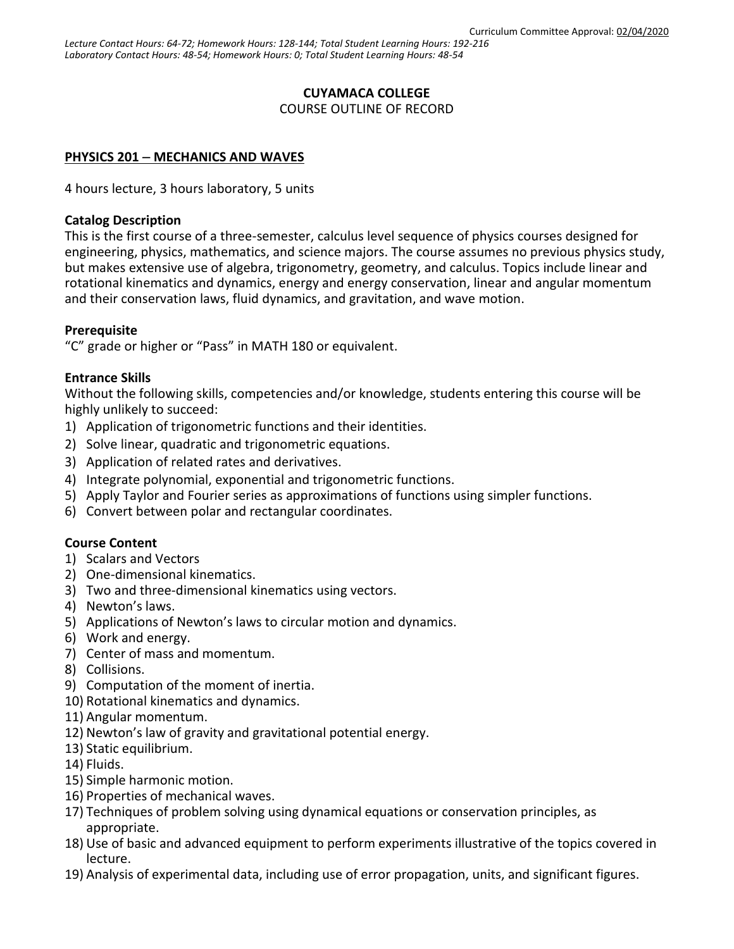### **CUYAMACA COLLEGE** COURSE OUTLINE OF RECORD

## **PHYSICS 201 MECHANICS AND WAVES**

4 hours lecture, 3 hours laboratory, 5 units

### **Catalog Description**

This is the first course of a three-semester, calculus level sequence of physics courses designed for engineering, physics, mathematics, and science majors. The course assumes no previous physics study, but makes extensive use of algebra, trigonometry, geometry, and calculus. Topics include linear and rotational kinematics and dynamics, energy and energy conservation, linear and angular momentum and their conservation laws, fluid dynamics, and gravitation, and wave motion.

### **Prerequisite**

"C" grade or higher or "Pass" in MATH 180 or equivalent.

#### **Entrance Skills**

Without the following skills, competencies and/or knowledge, students entering this course will be highly unlikely to succeed:

- 1) Application of trigonometric functions and their identities.
- 2) Solve linear, quadratic and trigonometric equations.
- 3) Application of related rates and derivatives.
- 4) Integrate polynomial, exponential and trigonometric functions.
- 5) Apply Taylor and Fourier series as approximations of functions using simpler functions.
- 6) Convert between polar and rectangular coordinates.

### **Course Content**

- 1) Scalars and Vectors
- 2) One-dimensional kinematics.
- 3) Two and three-dimensional kinematics using vectors.
- 4) Newton's laws.
- 5) Applications of Newton's laws to circular motion and dynamics.
- 6) Work and energy.
- 7) Center of mass and momentum.
- 8) Collisions.
- 9) Computation of the moment of inertia.
- 10) Rotational kinematics and dynamics.
- 11) Angular momentum.
- 12) Newton's law of gravity and gravitational potential energy.
- 13) Static equilibrium.
- 14) Fluids.
- 15) Simple harmonic motion.
- 16) Properties of mechanical waves.
- 17) Techniques of problem solving using dynamical equations or conservation principles, as appropriate.
- 18) Use of basic and advanced equipment to perform experiments illustrative of the topics covered in lecture.
- 19) Analysis of experimental data, including use of error propagation, units, and significant figures.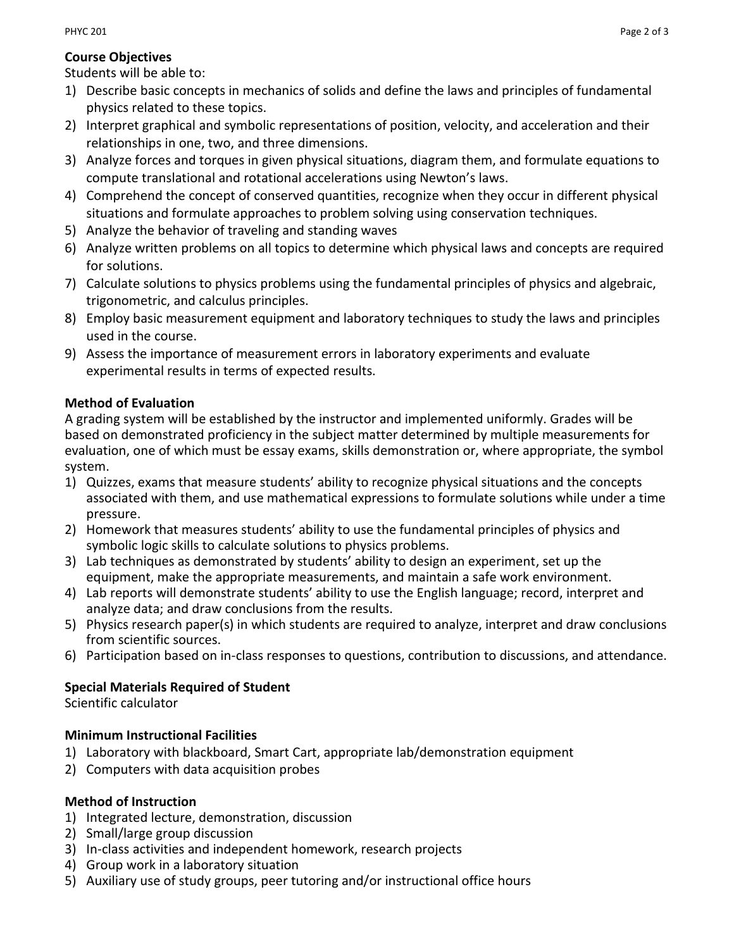# **Course Objectives**

Students will be able to:

- 1) Describe basic concepts in mechanics of solids and define the laws and principles of fundamental physics related to these topics.
- 2) Interpret graphical and symbolic representations of position, velocity, and acceleration and their relationships in one, two, and three dimensions.
- 3) Analyze forces and torques in given physical situations, diagram them, and formulate equations to compute translational and rotational accelerations using Newton's laws.
- 4) Comprehend the concept of conserved quantities, recognize when they occur in different physical situations and formulate approaches to problem solving using conservation techniques.
- 5) Analyze the behavior of traveling and standing waves
- 6) Analyze written problems on all topics to determine which physical laws and concepts are required for solutions.
- 7) Calculate solutions to physics problems using the fundamental principles of physics and algebraic, trigonometric, and calculus principles.
- 8) Employ basic measurement equipment and laboratory techniques to study the laws and principles used in the course.
- 9) Assess the importance of measurement errors in laboratory experiments and evaluate experimental results in terms of expected results.

# **Method of Evaluation**

A grading system will be established by the instructor and implemented uniformly. Grades will be based on demonstrated proficiency in the subject matter determined by multiple measurements for evaluation, one of which must be essay exams, skills demonstration or, where appropriate, the symbol system.

- 1) Quizzes, exams that measure students' ability to recognize physical situations and the concepts associated with them, and use mathematical expressions to formulate solutions while under a time pressure.
- 2) Homework that measures students' ability to use the fundamental principles of physics and symbolic logic skills to calculate solutions to physics problems.
- 3) Lab techniques as demonstrated by students' ability to design an experiment, set up the equipment, make the appropriate measurements, and maintain a safe work environment.
- 4) Lab reports will demonstrate students' ability to use the English language; record, interpret and analyze data; and draw conclusions from the results.
- 5) Physics research paper(s) in which students are required to analyze, interpret and draw conclusions from scientific sources.
- 6) Participation based on in-class responses to questions, contribution to discussions, and attendance.

# **Special Materials Required of Student**

Scientific calculator

## **Minimum Instructional Facilities**

- 1) Laboratory with blackboard, Smart Cart, appropriate lab/demonstration equipment
- 2) Computers with data acquisition probes

## **Method of Instruction**

- 1) Integrated lecture, demonstration, discussion
- 2) Small/large group discussion
- 3) In-class activities and independent homework, research projects
- 4) Group work in a laboratory situation
- 5) Auxiliary use of study groups, peer tutoring and/or instructional office hours